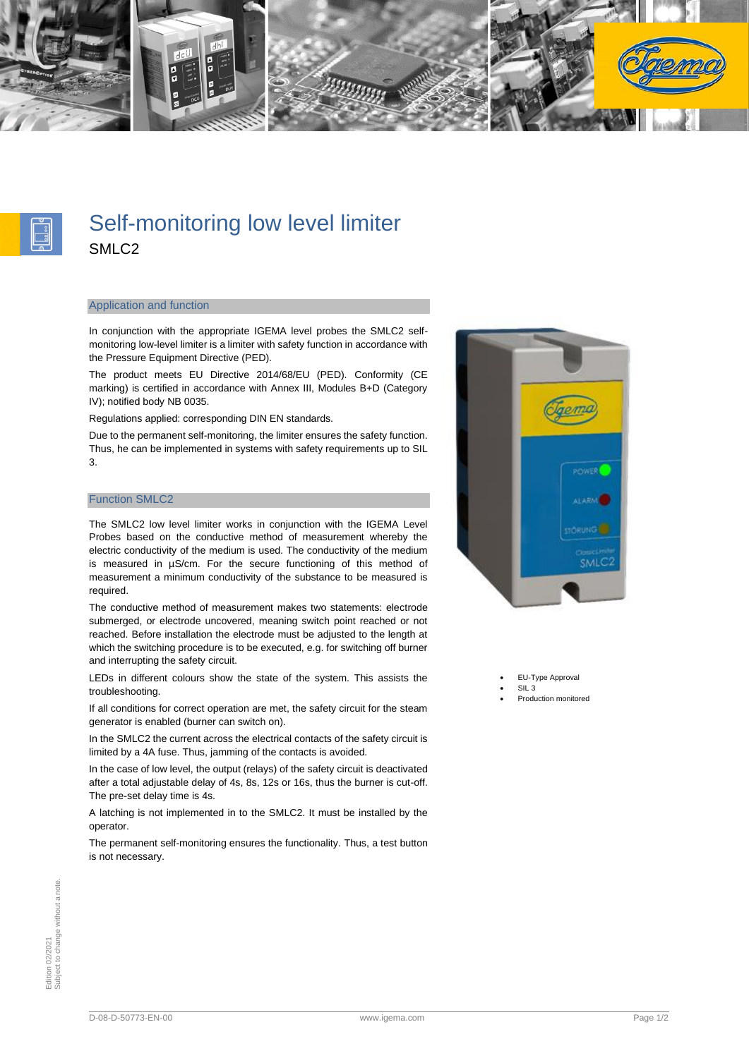



# Self-monitoring low level limiter SMLC2

#### Application and function

In conjunction with the appropriate IGEMA level probes the SMLC2 selfmonitoring low-level limiter is a limiter with safety function in accordance with the Pressure Equipment Directive (PED).

The product meets EU Directive 2014/68/EU (PED). Conformity (CE marking) is certified in accordance with Annex III, Modules B+D (Category IV); notified body NB 0035.

Regulations applied: corresponding DIN EN standards.

Due to the permanent self-monitoring, the limiter ensures the safety function. Thus, he can be implemented in systems with safety requirements up to SIL 3.

### Function SMLC2

The SMLC2 low level limiter works in conjunction with the IGEMA Level Probes based on the conductive method of measurement whereby the electric conductivity of the medium is used. The conductivity of the medium is measured in µS/cm. For the secure functioning of this method of measurement a minimum conductivity of the substance to be measured is required.

The conductive method of measurement makes two statements: electrode submerged, or electrode uncovered, meaning switch point reached or not reached. Before installation the electrode must be adjusted to the length at which the switching procedure is to be executed, e.g. for switching off burner and interrupting the safety circuit.

LEDs in different colours show the state of the system. This assists the troubleshooting.

If all conditions for correct operation are met, the safety circuit for the steam generator is enabled (burner can switch on).

In the SMLC2 the current across the electrical contacts of the safety circuit is limited by a 4A fuse. Thus, jamming of the contacts is avoided.

In the case of low level, the output (relays) of the safety circuit is deactivated after a total adjustable delay of 4s, 8s, 12s or 16s, thus the burner is cut-off. The pre-set delay time is 4s.

A latching is not implemented in to the SMLC2. It must be installed by the operator.

The permanent self-monitoring ensures the functionality. Thus, a test button is not necessary.



EU-Type Approval • SIL 3

<sup>•</sup> Production monitored